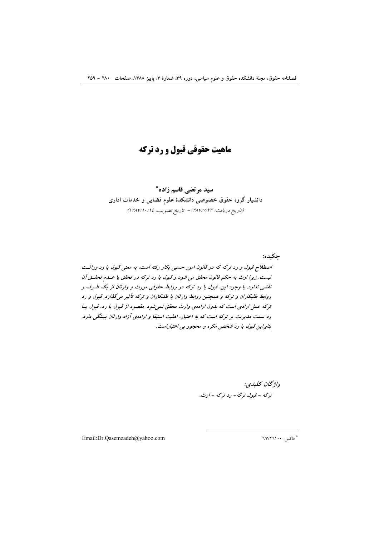# ماهيت حقوقي قبول و رد تركه

سید مرتضی قاسم زاده\* دانشیار گروه حقوق خصوصی دانشکدهٔ علوم قضایی و خدمات اداری (تاريخ دريافت: ١٣٨٧/٧/٢٣ - تاريخ تصويب: ١٣٨٧/١٠/١٤)

چکيده: اصطلاح قبول و رد ترکه که در قانون امور حسبی بکار رفته است، به معنی قبول یا رد وراثت نيست. زيرا ارث به حكم قانون محقق مي شود و قبول يا رد تركه در تحقق يا عسام تحقتي آن نقشی ندارد. با وجود این، قبول یا رد ترکه در روابط حقوقی مورث و وارثان از یک طـرف و روابط طلبکاران و ترکه و همچنین روابط وارثان با طلبکاران و ترکه تأثیر میگذارد. قبول و رد ترکه عمل ارادی است که بدون ارادهی وارث محقق نمیشود. مقصود از قبول یا رد، قبول یا رد سمت مدیریت بر ترکه است که به اختیار، اهلیت استیفا و ارادهی آزاد وارثان بستگی دارد. بنابراين قبول يا رد شخص مكره و محجور بي اعتباراست.

> واژگان كلېدى: ترکه - قبول ترکه- رد ترکه - ارث.

Email:Dr.Qasemzadeh@yahoo.com

\* فاكس: ۲٦٧٢٦١٠٠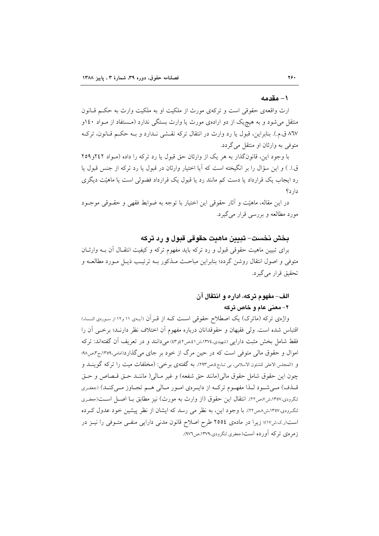#### ۱– مقدمه

ارث واقعهي حقوقي است و تركهي مورث از ملكيت او به ملكيت وارث به حكـم قـانون منتقل می شود و به هیچ یک از دو ارادهی مورث یا وارث بستگی ندارد (مستفاد از مـواد ۱٤۰و ٨٦٧ ق.م.). بنابراين، قبول يا رد وارث در انتقال تركه نقشى نـدارد و بـه حكـم قـانون، تركـه متوفى به وارثان او منتقل مى گردد.

با وجود این، قانونگذار به هر یک از وارثان حق قبول یا رد ترکه را داده (مـواد ٢٤٢و١٥٩ ق!. ) و اين سؤال را بر انگيخته است كه آيا اختيار وارثان در قبول يا رد تركه از جنس قبول يا رد ایجاب یک قرارداد یا دست کم مانند رد یا قبول یک قرارداد فضولی است یا ماهیّت دیگری  $s_1, s_2$ 

در این مقاله، ماهیّت و أثار حقوقی این اختیار با توجه به ضوابط فقهی و حقــوقی موجــود مورد مطالعه و بررسی قرار میگیرد.

# بخش نخست– تبیین ماهیت حقوقی قبول و رد ترکه

برای تبیین ماهیت حقوقی قبول و رد ترکه باید مفهوم ترکه و کیفیت انتقـال آن بــه وارثــان متوفَّى و اصول انتقال روشن گردد؛ بنابراین مباحث مــذکور بــه ترتیــب ذیــل مــورد مطالعــه و تحقيق قرار مي گيرد.

### الف- مفهوم تركه، اداره و انتقال آن

٢- معنى عام و خاص تركه

واژهی ترکه (ماترک) یک اصطلاح حقوقی است کـه از قـرآن (آیـهی ۱۱ و۱۲ از سـورهی النـساء) اقتباس شده است. ولي فقيهان و حقوقدانان درباره مفهوم آن اختلاف نظر دارنـد؛ برخـي آن را فقط شامل بخش مثبت دارایی (شهیدی،۱۳۷٤ش۱۱سمر۱۵صوری) میدانند و در تعریف آن گفتهاند: ترکه اموال و حقوق مالی متوفی است که در حین مرگ از خود بر جای می گذارد(امامی،۱۳۵۹،ج۳،ص۹۸؛ و (المجلس الاعلى للشئون الاسلامي، بي تـا،ج ٩،ص٢٩٣). به گفتهي برخي: (مخلفات ميت را تركه گوينــد و چون اين حقوق شامل حقوق مالي(مانند حق شفعه) و غير مـالي( ماننـد حـق قـصاص و حـق قــذف) مــي شــود لــذا مفهــوم تركــه از دايــرهي امــور مــالي هــم تجــاوز مــي كنــد) (جعفـري لنگرودی،۱۳۵۷،ش۷،ص۲۲). انتقال این حقوق (از وارث به مورث) نیز مطابق بـا اصـل اسـت(جعفـری لنگرودی،١٣٥٧،ش٨ص٢٢). با وجود اين، به نظر مي رسد كه ايشان از نظر پيشين خود عدول كرده است(ر.ک:ش۱۷)؛ زیرا در مادهی ۲۵۵٤ طرح اصلاح قانون مدنی دارایی منفـی متـوفی را نیـز در زمره ی ترکه آورده است(جعفری لنگرودی،۱۳۷۹،ص۹۷۶).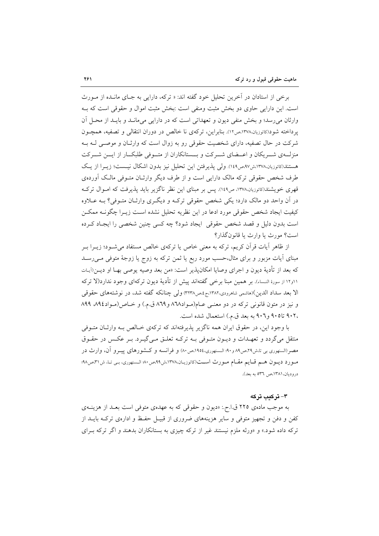برخي از استادان در آخرين تحليل خود گفته اند: « تركه، دارايي به جـاي مانــده از مــورث است. این دارایی حاوی دو بخش مثبت ومنفی است :بخش مثبت اموال و حقوقی است که بـه وارثان میرسد؛ و بخش منفی دیون و تعهداتی است که در دارایی میمانـد و بایـد از محـل أن یرداخته شود(کانوزیان،۱۳۷۸،ص۱۲). بنابراین، ترکهی نا خالص در دوران انتقالی و تصفیه، همچـون شرکت در حال تصفیه، دارای شخصیت حقوقی رو به زوال است که وارثـان و موصـّى لـه بـه منزلـهي شــريكان و اعــضاي شــركت و بــستانكاران از متــوفي طلبكــار از ايـــن شــركت هستند(کاتوزیان،۱۳۷۸،ش۹۷،ص۱٤۹). ولی پذیرفتن این تحلیل نیز بدون اشکال نیست؛ زیـرا از یـک طرف شخص حقوقی ترکه مالک دارایی است و از طرف دیگر وارثـان متـوفی مالـک آوردهی قهری خویشند(کاتوزیان،۱۳۷۸، ص۱٤۹). پس بر مبنای این نظر ناگزیر باید پذیرفت که امـوال ترکـه در آن واحد دو مالک دارد؛ یکی شخص حقوقی ترک) و دیگری وارثـان متـوفی؟ بــه عــلاوه كيفيت ايجاد شخص حقوقي مورد ادعا در اين نظريه تحليل نشده اسـت زيـرا چگونــه ممكــن است بدون دلیل و قصد شخص حقوقی ایجاد شود؟ چه کسی چنین شخصی را ایجـاد کـرده است؟ مورث یا وارث یا قانون گذار؟

از ظاهر آیات قرآن کریم، ترکه به معنی خاص یا ترکهی خالص مستفاد میشــود؛ زیــرا بــر مبنای آیات مزبور و برای مثال،حسب مورد ربع یا ثمن ترکه به زوج یا زوجهٔ متوفی مــی(ســد كه بعد از تأديهٔ ديون و اجراي وصايا امكانيذير است: «من بعد وصيه يوصى بهــا او ديــن(آيــات ١١و١٢ از سورهٔ النـساء). بر همين مبنا برخمي گفتهاند پيش از تأديهٔ ديون تركهاي وجود ندارد(لا تركه الا بعد سداد الدين)(هاشمي شاهرودي،١٣٨٢ج،ص٣٢٣٨) ولي چنانكه گفته شد، در نوشتههاي حقوقي و نيز در متون قانوني تركه در دو معنـي عــام(مـواد١٦٨ و ٨٦٩ ق.م.) و خـاص(مـواد١٨٩٤ ٨٩٩ ،۹۰۲ تا۹۰۵ و۹۰۲ به بعد ق.م.) استعمال شده است.

با وجود این، در حقوق ایران همه ناگزیر پذیرفتهاند که ترکهی خـالص بـه وارثـان متـوفی منتقل می گردد و تعهـدات و ديـون متـوفي بـه تركـه تعلـق مـي گيـرد. بـر عكـس در حقـوق مصر(السنهوری بی تاش۲۹،ص۸۹ و۹۰؛ الـسنهوری،۱۹۵٤،ص۸۰) و فرانسه و کـشورهای پیــرو آن، وارث در مبورد ديبون هسم قبايم مقبام مبورث است(كاتوزيبان،١٣٧٨،ش٩٩،ص٥٠٠ السنهوري، بي تبا، ش٣١،ص٩٨؛ دروديان، ١٣٨١،ص ٥٣٦ به بعد).

### ۳- ترکیب ترکه

به موجب مادهی ۲۲۵ ق.ا.ح.: «دیون و حقوقی که به عهدهی متوفی است بعـد از هزینــهی کفن و دفن و تجهیز متوفی و سایر هزینههای ضروری از قبیـل حفـظ و ادارهی ترکـه بایــد از ترکه داده شود.» و «ورثه ملزم نیستند غیر از ترکه چیزی به بستانکاران بدهند و اگر ترکه بـرای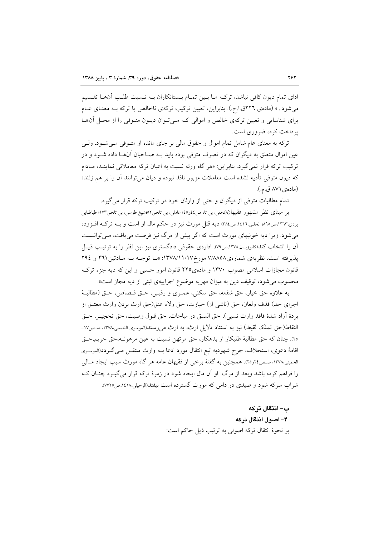ادای تمام دیون کافی نباشد، ترکـه مـا بـین تمـام بـستانکاران بـه نـسبت طلـب آنهـا تقـسیم می شود...» (مادهی ۲۲٦ق ا.ح.). بنابراین، تعیین ترکیب ترکهی ناخالص یا ترکه بـه معنـای عـام برای شناسایی و تعیین ترکهی خالص و اموالی کـه مـیتوان دیـون متـوفی را از محـل آنهـا یر داخت کر د، ضروری است.

ترکه به معنای عام شامل تمام اموال و حقوق مالی بر جای مانده از متـوفی مـی شـود. ولـی عین اموال متعلق به دیگران که در تصرف متوفی بوده باید بــه صــاحبان آن هــا داده شــود و در ترکیب ترکه قرار نمیگیرد. بنابراین: «هر گاه ورثه نسبت به اعیان ترکه معاملاتی نماینـد، مـادام که دیون متوفی تأدیه نشده است معاملات مزبور نافذ نبوده و دیان می توانند آن را بر هم زنند» (مادەي ٨٧١ ق.م.).

تمام مطالبات متوفى از ديگران و حتى از وارثان خود در تركيب تركه قرار مى گيرد.

بر مبنای نظر مشهور فقیهان(نجفی، بی تا، ص٤٤و٤٥؛ عاملی، بی تا،ص٥٢:شیخ طوسی، بی تا،ص١٧٣؛ طباطبایی یزدی،۱۳٦۳،ص۹۸۸؛ الحلـی،۱٤١٦،ص۳۸٤ دیه قتل مورث نیز در حکم مال او است و بـه ترکـه افــزوده می شود. زیرا دیه خونبهای مورث است که اگر پیش از مرگ نیز فرصت می یافت، مـی توانـست آن را انتخاب کند(کاتوزیـان،۱۳۷۸،ص۷۹). ادارهی حقوقی دادگستری نیز این نظر را به ترتیـب ذیــل پذیرفته است. نظریهی شمارهی٧/٨٨٥٨ مورخ١٣٧٨/١١/١٧ «بـا توجـه بـه مـادتین ٢٦١ و ٢٩٤ قانون مجازات اسلامی مصوب ۱۳۷۰ و مادهی۲۲۵ قانون امور حسبی و این که دیه جزء ترک محسوب میشود، توقیف دین به میزان مهریه موضوع اجراییهی ثبتی از دیه مجاز است».

به علاوه حق خيار، حق شفعه، حق سكني، عمـري و رقبـي، حـق قـصاص، حـق (مطالبـهٔ اجراي حد) قذف ولعان، حق (ناشي از) حيازت، حق ولاء عتق(حق ارث يردن وارث معتــق از بردة أزاد شدة فاقد وارث نسبي)، حق السبق در مباحات، حق قبول وصيت، حق تحجيــر، حــق التقاط(حق تملک لقیط) نیز به استناد دلایل ارث، به ارث می رسند(الموسوی الخمینی،۱۳۷۸، صص۱۷-٢٥). چنان كه حق مطالبهٔ طلبكار از بدهكار، حق مرتهن نسبت به عين مرهونـه،حق حريم،حـق اقامهٔ دعوی، استحلاف، جرح شهودبه تبع انتقال مورد ادعا بـه وارث منتقــل مــی گــردد(الموسـوی الخمینی،۱۳۷۸، صص۲۶و۲). همچنین به گفتهٔ برخی از فقیهان عامه هر گاه مورث سبب ایجاد مـالی را فراهم کرده باشد وبعد از مرگ او آن مال ایجاد شود در زمرهٔ ترکه قرار می گیـرد چنــان کــه شراب سرکه شود و صیدی در دامی که مورث گسترده است بیفتد(الزحیلی،۱٤۱۸،ص۷۲۵).

> ب– انتقال تركه ۴- اصول انتقال ترکه بر نحوهٔ انتقال ترکه اصولی به ترتیب ذیل حاکم است: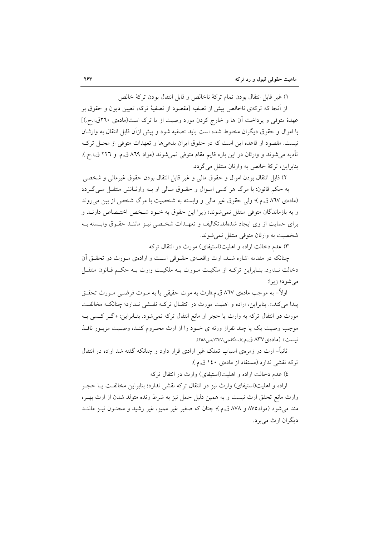١) غير قابل انتقال بودن تمام تركة ناخالص و قابل انتقال بودن تركة خالص

از آنجا که ترکهی ناخالص پیش از تصفیه [مقصود از تصفیهٔ ترکه، تعیین دیون و حقوق بر عهدهٔ متوفی و پرداخت آن ها و خارج کردن مورد وصیت از ما ترک است(مادهی ۲٦٠ق.ا.ح.)] با اموال و حقوق دیگران مخلوط شده است باید تصفیه شود و پیش ازآن قابل انتقال به وارثـان نيست. مقصود از قاعده اين است كه در حقوق ايران بدهي ها و تعهدات متوفى از محـل تركـه تأديه مي شوند و وارثان در اين باره قايم مقام متوفى نمي شوند (مواد ٨٦٩ ق.م. و ٢٢٦ ق.ا.ح.). بنابراین، ترکهٔ خالص به وارثان منتقل می گردد.

٢) قابل انتقال بودن اموال و حقوق مالي و غير قابل انتقال بودن حقوق غيرمالي و شخصي به حکم قانون: با مرگ هر کسی امـوال و حقـوق مـالی او بـه وارثـانش منتقـل مـیگـردد (مادهی ۸٦۷ ق.م.)؛ ولی حقوق غیر مالی و وابسته به شخصیت با مرگ شخص از بین می روند و به بازماندگان متوفی منتقل نمی شوند؛ زیرا این حقوق به خـود شـخص اختـصاص دارنــد و برای حمایت از وی ایجاد شدهاند.تکالیف و تعهـدات شخـصی نیـز ماننـد حقـوق وابـسته بـه شخصیت به وارثان متوفی منتقل نمی شوند.

۳) عدم دخالت اراده و اهلیت(استیفای) مورث در انتقال ترکه

چنانکه در مقدمه اشاره شـد، ارث واقعـهى حقـوقى اسـت و ارادهى مـورث در تحقـق آن دخالت نـدارد. بنـابراين تركـه از ملكيـت مـورث بـه ملكيـت وارث بـه حكـم قـانون منتقـل می شود؛ زیرا:

اولاً– به موجب مادهي ۸٦۷ ق.م.«ارث به موت حقيقي يا به مــوت فرضــي مــورث تحقــق پیدا میکند.». بنابراین، اراده و اهلیت مورث در انتقـال ترکـه نقـشی نـدارد؛ چنانکـه مخالفـت مورث **در** انتقال ترکه به وارث یا حجر او مانع انتقال ترکه نمیشود. بنـابراین: «اگــر کـسی بــه موجب وصيت يک يا چند نفراز ورثه ي خــود را از ارث محـروم کنــد، وصــيت مزبــور نافــذ نيست» (ماده ي ٨٣٧ ق.م.)(سنگلجي،١٣٤٧،ص٢٥٨).

ثانیاً– ارث در زمرهی اسباب تملک غیر ارادی قرار دارد و چنانکه گفته شد اراده در انتقال تركه نقشى ندارد.(مستفاد از مادهى ١٤٠ ق.م.).

٤) عدم دخالت اراده و اهلیت(استیفای) وارث در انتقال ترکه

اراده و اهلیت(استیفای) وارث نیز در انتقال ترکه نقشی ندارد؛ بنابراین مخالفت یـا حجـر وارث مانع تحقق ارث نيست و به همين دليل حمل نيز به شرط زنده متولد شدن از ارث بهـره مند مي شود (مواد١٧٥ و ٨٧٨ ق.م.)؛ چنان كه صغير غير مميز، غير رشيد و مجنــون نيــز ماننــد ديگران ارث مي بر د.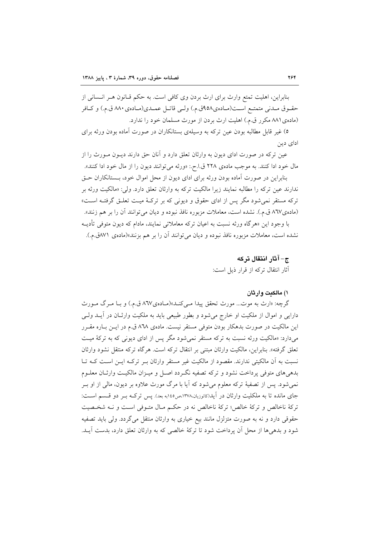بنابراین، اهلیت تمتع وارث برای ارث بردن وی کافی است. به حکم قــانون هــر انــسانی از حقـوق مـدني متمتـع اسـت(مـادهي٩٥٨ق.م.) ولـي قاتـل عمـدي(مـادهي ٨٨٠ ق.م.) و كــافر (مادهی ۸۸۱ مکرر ق.م.) اهلیت ارث بردن از مورث مسلمان خود را ندارد.

٥) غیر قابل مطالبه بودن عین ترکه به وسیلهی بستانکاران در صورت آماده بودن ورثه برای ادای دین

عین ترکه در صورت ادای دیون به وارثان تعلق دارد و آنان حق دارند دیــون مــورث را از مال خود ادا كنند. به موجب مادهى ٢٢٨ ق.ا.ح.: «ورثه مى توانند ديون را از مال خود ادا كنند». بنابراین در صورت آماده بودن ورثه برای ادای دیون از محل اموال خود، بـستانکاران حـق ندارند عین ترکه را مطالبه نمایند زیرا مالکیت ترکه به وارثان تعلق دارد. ولی: «مالکیت ورثه بر ترکه مستقر نمی شود مگر پس از ادای حقوق و دیونی که بر ترکـهٔ میـت تعلـق گرفتـه اسـت» (مادهی۸٦۷ ق.م.). نشده است، معاملات مزبوره نافذ نبوده و دیان می توانند آن را بر هم زنند». با وجود این «هرگاه ورثه نسبت به اعیان ترکه معاملاتی نمایند، مادام که دیون متوفی تأدیـه نشده است، معاملات مزبوره نافذ نبوده و ديان ميتوانند آن را بر هم بزنند»(مادهي ٧١١ق.م.).

ج– آثار انتقال تركه

آثار انتقال تركه از قرار ذيل است:

#### ۱) مالکت وارثان

گرچه: «ارث به موت... مورث تحقق پیدا مـی کنـد»(مـادهی۸٦۷ ق.م.) و بـا مـرگ مـورث دارایی و اموال از ملکیت او خارج می شود و بطور طبیعی باید به ملکیت وارثـان در آیــد ولــی این مالکیت در صورت بدهکار بودن متوفی مستقر نیست. مادهی ۸۶۸ ق.م در ایــن بــاره مقــرر می دارد: «مالکیت ورثه نسبت به ترکه مستقر نمی شود مگر پس از ادای دیونی که به ترکهٔ میت تعلق گرفته». بنابراین، مالکیت وارثان مبتنی بر انتقال ترکه است. هرگاه ترکه منتقل نشود وارثان نسبت به آن مالکیتی ندارند. مقصود از مالکیت غیر مستقر وارثان بـر ترکـه ایـن اسـت کـه تـا بدهی های متوفی برداخت نشود و ترکه تصفیه نگـردد اصـل و میـزان مالکیـت وارثـان معلــوم نمی شود. پس از تصفیهٔ ترکه معلوم می شود که آیا با مرگ مورث علاوه بر دیون، مالی از او بـر جای مانده تا به ملکلیت وارثان در آید(کاتوزیان،۱۳۷۸،ص۱٤٥به بعد). پس ترکـه بـر دو قـسم اسـت: تركة ناخالص و تركة خالص؛ تركة ناخالص نه در حكـم مـال متـوفي اسـت و نــه شخـصيت حقوقي دارد و نه به صورت متزلزل مانند بيع خياري به وارثان منتقل مي گردد. ولي بايد تصفيه شود و بدهیها از محل آن پرداخت شود تا ترکهٔ خالصی که به وارثان تعلق دارد، بدست آیــد.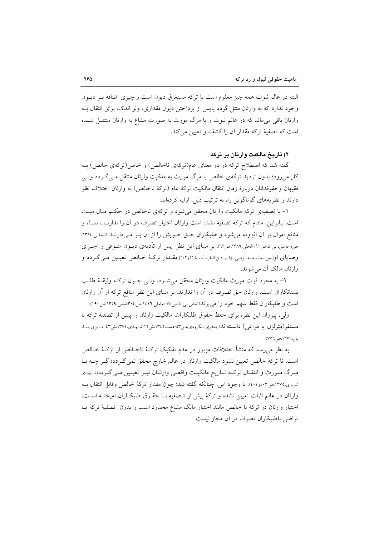البته در عالم ثبوت همه چیز معلوم است یا ترکه مستغرق دیون است و چیزی اضافه بـر دیــون وجود ندارد که به وارثان منتل گردد پایس از پرداختن دیون مقداری، ولو اندک، برای انتقال بـه وارثان باقی میماند که در عالم ثبوت و با مرگ مورث به صورت مشاع به وارثان منتقـل شـده است که تصفیهٔ ترکه مقدار آن را کشف و تعیین میکند.

۲) تاریخ مالکیت وارثان بر ترکه

گفته شد که اصطلاح ترکه در دو معنای عام(ترکهی ناخالص) و خاص(ترکهی خالص) بـه کار می رود؛ بدون تردید ترکهی خالص با مرگ مورث به ملکیت وارثان منتقل مے گردد ولے فقيهان وحقوقدانان دربارهٔ زمان انتقال مالكيت تركهٔ عام (تركهٔ ناخالص) به وارثان اختلاف نظر دارند و نظریههای گوناگونی را، به ترتیب ذیل، ارایه کردهاند:

۱- با تصفیهی ترکه مالکیت وارثان محقق میشود و ترکهی ناخالص در حکم مـال میـت است. بنابراین، مادام که ترکه تصفیه نشده است وارثان اختیار تصرف در آن را ندارنـد، نمــاء و منافع اموال بر أن افزوده مى شود و طلبكاران حـق خــويش را از أن بـر مــىدارنــد (الحلـى،١٣١٤. ص؛ عاملي، بي تا،ص٩١؛ الحلي،١٣٨٩،ص٦٢). بر مبناي اين نظرٍ ۖ يس از تأديهي ديــون متــوفي و اجــراي وصایای او[،من بعد وصیه یوصی بها او دین؛البقره،آیات(١١ر١٢)] مقــدار ترکـهٔ خــالص تعیــین مــیگــردد و وارثان مالک آن مے شوند.

۲– به مجرد فوت مورث مالکیت وارثان محقق میشـود، ولـی چـون ترکـه وثیقـهٔ طلـب بستانکاران است، وارثان حق تصرف در آن را ندارند. بر مبنای این نظر منافع ترکه از آن وارثان است و طلبکاران فقط سهم خود را می برند(نجفی؛بی تا ص۱۶۷العاملی،۱۶۱٦،ص۱۴۰۶امی،۱۳۵۹،ص۱۴۰۰.

ولي، پيروان اين نظر، براي حفظ حقوق طلبكاران، مالكيت وارثان را پيش از تصفيهٔ تركه نا مستقر (متزلزل یا مراعی) دانستهاند(جعفری لنگرودی،ص۳۵۲،عمید،۱۳٤۲،ش۱۲:شهیدی،۱۳۷٤،ش۳ ؛حـایری شـاه باغ،١٣٧٦،ص ٧٧٦).

به نظر می٫رسد که منشأ اختلافات مزبور در عدم تفکیک ترکـهٔ ناخـالص از ترکـهٔ خـالص است. تا ترکهٔ خالص تعیین نشود مالکیت وارثان در عالم خارج محقق نمی گـردد؛ گـر چــه بــا مرگ مورث و انتقـال تركـه تـاريخ مالكيـت واقعـي وارثـان نيـز تعيـين مـيگـردد(شـهيدي تبریزی،۱۳۷۵،ص۱۳۰۴. با وجود این، چنانکه گفته شد: چون مقدار ترکهٔ خالص وقابل انتقال بـه وارثان در عالم اثبات تعیین نشده و ترکهٔ پیش از تـصفیه بـا حقـوق طلبکـاران آمیختـه اسـت، اختیار وارثان در ترکهٔ نا خالص مانند اختیار مالک مشاع محدود است و بدون تصفیهٔ ترکه پــا تراضي باطلبكاران تصرف در آن مجاز نيست.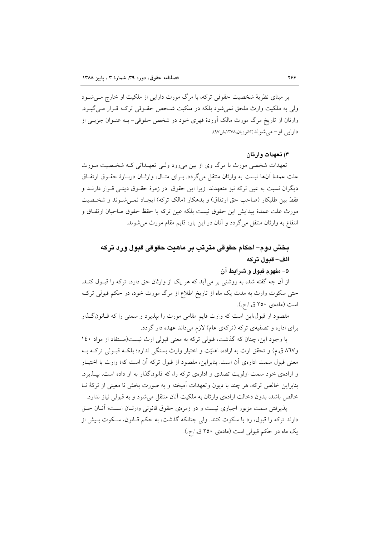بر مبنای نظریهٔ شخصیت حقوقی ترکه، با مرگ مورث دارایی از ملکیت او خارج مـی شــود ولي به ملكيت وارث ملحق نمي شود بلكه در ملكيت شـخص حقـوقي تركـه قـرار مـي گيـرد. وارثان از تاریخ مرگ مورث مالک اَوردهٔ قهری خود در شخص حقوقی- بــه عنــوان جزیــی از دار ایی او – می شو ند(کاتوزیان،۱۳۷۸،ش۷۹).

۳) تعهدات وارثان

تعهدات شخصی مورث با مرگ وی از بین می رود ولـبی تعهـداتی کـه شخـصیت مـورث علت عمدهٔ آنها نیست به وارثان منتقل میگردد. بـرای مثـال، وارثـان دربـارهٔ حقـوق ارتفـاق دیگران نسبت به عین ترکه نیز متعهدند. زیرا این حقوق ً در زمرهٔ حقـوق دینـی قـرار دارنــد و فقط بین طلبکار (صاحب حق ارتفاق) و بدهکار (مالک ترکه) ایجـاد نمـیشـوند و شخـصیت مورث علت عمدهٔ پیدایش این حقوق نیست بلکه عین ترکه با حقظ حقوق صاحبان ارتفـاق و انتفاع به وارثان منتقل میگردد و آنان در این باره قایم مقام مورث می شوند.

# بخش دوم– لحکام حقوقی مترتب بر ماهنت حقوقی قبول ورد ترکه الف- قبول تركه

### ۵– مفهوم قبول و شرایط آن

از آن چه گفته شد، به روشنی بر میآید که هر یک از وارثان حق دارد، ترکه را قبـول کنـد. حتی سکوت وارث به مدت یک ماه از تاریخ اطلاع از مرگ مورث خود، در حکم قبولی ترک است (ماده ، ۲۵۰ ق.ا.ح.).

مقصود از قبول،این است که وارث قایم مقامی مورث را بپذیرد و سمتی را که قـانون گـذار برای اداره و تصفیهی ترکه (ترکهی عام) لازم می داند عهده دار گردد.

با وجود این، چنان که گذشت، قبولی ترکه به معنی قبولی ارث نیست(مستفاد از مواد ١٤٠ و۸٦۷ ق.م) و تحقق ارث به اراده، اهلیّت و اختیار وارث بستگی ندارد؛ بلکـه قبـولی ترکـه بـه معنی قبول سمت ادارهی اّن است. بنابراین، مقصود از قبول ترکه اّن است که؛ وارث با اختیـار و ارادهی خود سمت اولویت تصدی و ادارهی ترکه را، که قانونگذار به او داده است، بیـذیرد. بنابراین خالص ترکه، هر چند با دیون وتعهدات آمیخته و به صورت بخش نا معینی از ترکهٔ نــا خالص باشد، بدون دخالت ارادهی وارثان به ملکیت آنان منتقل می شود و به قبولی نیاز ندارد.

يذيرفتن سمت مزبور اجباري نيست و در زمرهي حقوق قانوني وارثــان اســت؛ آنــان حــق دارند ترکه را قبول، رد یا سکوت کنند. ولی چنانکه گذشت، به حکم قـانون، سـکوت بـیش از یک ماه در حکم قبولی است (مادهی ۲۵۰ ق.ا.ح.).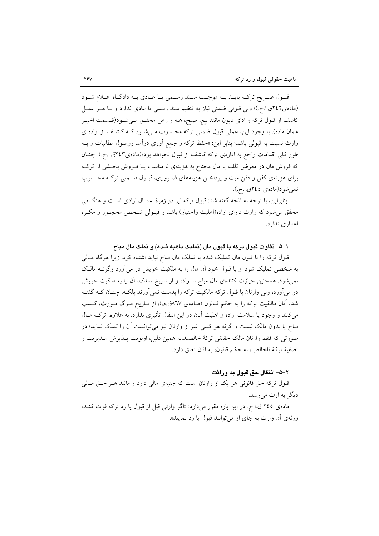قبول صریح ترکـه بایـد بـه موجـب سـند رسـمی یـا عـادی بـه دادگـاه اعـلام شـود (مادهی۲٤٢ق.ا.ح.)؛ ولی قبولی ضمنی نیاز به تنظیم سند رسمی یا عادی ندارد و بـا هـر عمـل کاشف از قبول ترکه و ادای دیون مانند بیع، صلح، هبه و رهن محقـق مـیشـود(قـسمت اخیـر همان ماده). با وجود این، عملی قبول ضمنی ترکه محسوب میشود کـه کاشـف از اراده ی وارث نسبت به قبولي باشد؛ بنابر اين: «حفظ تركه و جمع آوري درآمد ووصول مطالبات و بـه طور کلی اقدامات راجع به ادارهی ترکه کاشف از قبول نخواهد بود»(مادهی۲٤۳ق !.ح.). چنــان که فروش مال در معرض تلف یا مال محتاج به هزینهی نا مناسب یـا فـروش بخـشی از ترکـه برای هزینهی کفن و دفن میت و پرداختن هزینههای ضروری، قبـول ضـمنی ترکـه محـسوب نمي شو د(ماده ي ٢٤٤ق.اح.).

بنابراین، با توجه به آنچه گفته شد: قبول ترکه نیز در زمرهٔ اعمـال ارادی اسـت و هنگـامی محقق می شود که وارث دارای اراده(اهلیت واختیار) باشد و قبـولی شـخص محجـور و مکـره اعتباري ندارد.

#### ۱–۵– تفاوت قبول ترکه با قبول مال (تملیک یاهبه شده) و تملک مال مباح

قبول ترکه را با قبول مال تملیک شده یا تملک مال مباح نباید اشتباه کرد. زیرا هرگاه مـالمی به شخصی تملیک شود او با قبول خود آن مال را به ملکیت خویش در می آورد وگرنــه مالـک نمی شود. همچنین حیازت کنندهی مال مباح با اراده و از تاریخ تملک، آن را به ملکیت خویش در می آورد؛ ولی وارثان با قبول ترکه مالکیت ترکه را بدست نمی آورند بلکـه، چنــان کــه گفتــه شد، آنان مالکیت ترکه را به حکم قـانون (مـادهی ٦٧٨ق.م.)، از تـاریخ مـرگ مـورث، کـسب می کنند و وجود یا سلامت اراده و اهلیت آنان در این انتقال تأثیری ندارد. به علاوه، ترکـه مـال مباح یا بدون مالک نیست و گرنه هر کسی غیر از وارثان نیز میتوانست آن را تملک نماید؛ در صورتی که فقط وارثان مالک حقیقی ترکهٔ خالصند.به همین دلیل، اولویت پــذیرش مــدیریت و تصفيهٔ تركهٔ ناخالص، به حكم قانون، به آنان تعلق دارد.

### ٢-۵- انتقال حق قبول به وراثت

قبول ترکه حق قانونی هر یک از وارثان است که جنبهی مالی دارد و مانند هـر حـق مـالی دیگر به ارث می رسد.

ماده ی ٢٤٥ ق.ا.ح. در این باره مقرر میدارد: «اگر وارثی قبل از قبول یا رد ترکه فوت کنـد، ورثهي أن وارث به جاي او مي توانند قبول يا رد نمايند».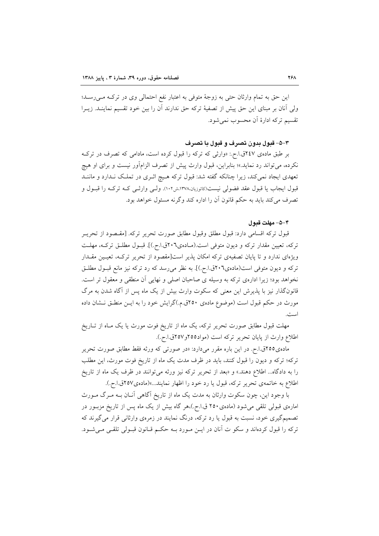این حق به تمام وارثان حتی به زوجهٔ متوفی به اعتبار نفع احتمالی وی در ترکه مـی(سـد؛ ولي آنان بر مبناي اين حق پيش از تصفيهٔ تركه حق ندارند آن را بين خود تقسيم نماينـد. زيـرا تقسیم ترکه ادارهٔ آن محسوب نمی شود.

٣–٥–قبول بدون تصرف و قبول يا تصرف

بر طبق مادهی ۲٤۷ق.ا.ح.: «وارثی که ترکه را قبول کرده است، مادامی که تصرف در ترک نکرده، می تواند رد نماید.»؛ بنابراین، قبول وارث پیش از تصرف الزامآور نیست و برای او هیچ تعهدی ایجاد نمیکند، زیرا چنانکه گفته شد: قبول ترکه هـیچ اثـری در تملـک نـدارد و ماننـد قبول ايجاب يا قبول عقد فضولي نيست(کاتوزيان،١٣٧٨،ش١٠٢). ولـي وارثـي کـه ترکـه را قبــول و تصرف مي كند بايد به حكم قانون أن را اداره كند وگر نه مسئول خواهد بود.

#### ۴–۵– مهلت قدو ل

قبول تركه اقسامي دارد: قبول مطلق وقبول مطابق صورت تحرير تركه. [مقـصود از تحريــر تركه، تعيين مقدار تركه و ديون متوفى است.(مـادهى٢٠٦ق.ا.ح.)]. قبـول مطلـق تركـه، مهلـت ویژهای ندارد و تا پایان تصفیهی ترکه امکان پذیر است[مقصود از تحریر ترکـه، تعیـین مقـدار ترکه و دیون متوفی است(مادهی٢٠٦ق.ا.ح.)]. به نظر می رسد که رد ترکه نیز مانع قبـول مطلـق نخواهد بود؛ زیرا ادارهی ترکه به وسیله ی صاحبان اصلی و نهایی أن منطقی و معقول تر است. قانونگذار نیز با پذیرش این معنی که سکوت وارث بیش از یک ماه پس از آگاه شدن به مرگ مورث در حکم قبول است (موضوع مادهی ۲۵۰ق.م.)گرایش خود را به ایــن منطـق نــشان داده است.

مهلت قبول مطابق صورت تحریر ترکه، یک ماه از تاریخ فوت مورث یا یک مـاه از تـاریخ اطلاع وارث از پایان تحریر ترکه است (مواد۱۵۵ق/۲۵۷ق.ا.ح.).

مادهی۲۵۵ق.ا.ح. در این باره مقرر میدارد: «در صورتی که ورثه فقط مطابق صورت تحریر ترکه؛ ترکه و دیون را قبول کنند، باید در ظرف مدت یک ماه از تاریخ فوت مورث، این مطلب را به دادگاه... اطلاع دهند.» و «بعد از تحریر ترکه نیز ورثه می توانند در ظرف یک ماه از تاریخ اطلاع به خاتمهي تحرير تركه، قبول يا رد خود را اظهار نمايند....»(مادهي٢٥٧ق.ا.ح.).

با وجود این، چون سکوت وارثان به مدت یک ماه از تاریخ آگاهی آنـان بــه مـرگ مــورث امارهی قبولی تلقی میشود (مادهی۲۵۰ ق.ا.ح.)،هر گاه بیش از یک ماه پس از تاریخ مزبـور در تصمیمگیری خود، نسبت به قبول یا رد ترکه، درنگ نمایند در زمرهی وارثانی قرار میگیرند که تركه را قبول كردهاند و سكو ت آنان در ايـــن مــورد بــه حكــم قــانون قبــولى تلقـــى مــى شــود.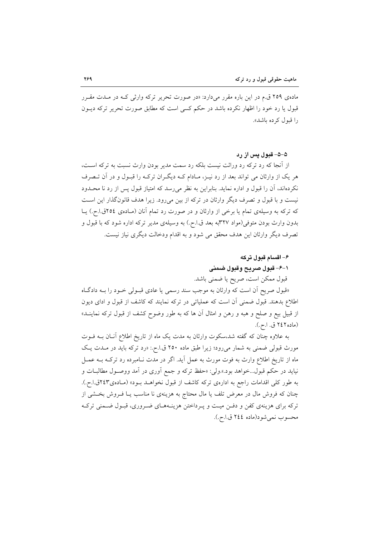مادهی ۲۵۹ ق.م در این باره مقرر میدارد: «در صورت تحریر ترکه وارثی کـه در مـدت مقـرر قبول یا رد خود را اظهار نکرده باشد در حکم کسی است که مطابق صورت تحریر ترکه دیــون را قبول کے دہ پاشد».

۵–۵– قبول پس از رد

از آنجا که رد ترکه رد وراثت نیست بلکه رد سمت مدیر بودن وارث نسبت به ترکه اسـت، هر یک از وارثان می تواند بعد از رد نیــز، مــادام کــه دیگــران ترکــه را قبــول و در آن تــصرف نکردهاند، آن را قبول و اداره نماید. بنابراین به نظر می رسد که امتیاز قبول پس از رد نا محــدود نیست و با قبول و تصرف دیگر وارثان در ترکه از بین می رود. زیرا هدف قانون گذار این است که ترکه به وسیلهی تمام یا برخی از وارثان و در صورت رد تمام آنان (مـادهی ٢٥٤ق.ا.ح.) یــا بدون وارث بودن متوفى(مواد ٣٢٧به بعد ق.ا.ح.) به وسيلهى مدير تركه اداره شود كه با قبول و تصرف دیگر وارثان این هدف محقق می شود و به اقدام ودخالت دیگری نیاز نیست.

## ۶– اقسام قبول ترکه

# ١-۶- قبول صريح وقبول ضمنى

قبول ممكن است، صريح يا ضمني باشد.

«قبول صريح آن است كه وارثان به موجب سند رسمي يا عادي قبـولي خـود را بــه دادگـاه اطلاع بدهند. قبول ضمنی آن است که عملیاتی در ترکه نمایند که کاشف از قبول و ادای دیون از قبیل بیع و صلح و هبه و رهن و امثال آن ها که به طور وضوح کشف از قبول ترکه نماینــد» (ماده ۲٤۲ ق. ا.ح.).

به علاوه چنان که گفته شد،سکوت وارثان به مدت یک ماه از تاریخ اطلاع أنــان بــه فــوت مورث قبولی ضمنی به شمار میرود؛ زیرا طبق ماده ۲۵۰ ق.ا.ح.: «رد ترکه باید در مــدت یــک ماه از تاریخ اطلاع وارث به فوت مورث به عمل آید. اگر در مدت نـامبرده رد ترکـه بــه عمــل نیاید در حکم قبول…خواهد بود.».ولی: «حفظ ترکه و جمع آوری در آمد ووصـول مطالبــات و به طور کلی اقدامات راجع به ادارهی ترکه کاشف از قبول نخواهـد بـود» (مـادهی۲٤۳ق.ا.ح.). چنان که فروش مال در معرض تلف یا مال محتاج به هزینهی نا مناسب یــا فــروش بخــشی از ترکه برای هزینهی کفن و دفـن میـت و پـرداختن هزینـههـای ضـروری، قبـول ضـمنی ترکـه محسوب نمي شود(ماده ٢٤٤ ق.ا.ح.).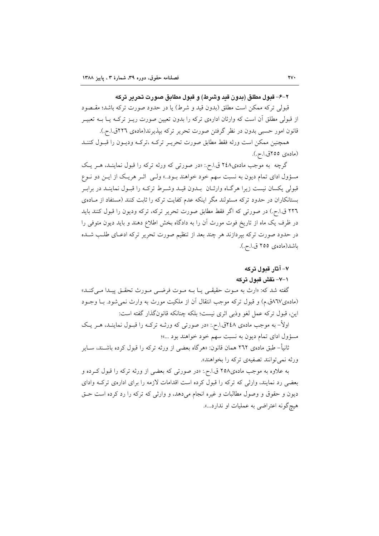### ٢–۶– قبول مطلق (بدون قبد وشرط) و قبول مطابق صورت تحرير تركه

قبولي تركه ممكن است مطلق (بدون قيد و شرط) يا در حدود صورت تركه باشد؛ مقـصود از قبولی مطلق اَن است که وارثان ادارهی ترکه را بدون تعیین صورت ریــز ترکــه یــا بــه تعبیــر قانون امور حسبي بدون در نظر گرفتن صورت تحرير تركه بيذيرند(مادهي ٢٢٦ق.ا.ح.).

همچنین ممکن است ورثه فقط مطابق صورت تحریـر ترکـه ،ترکـه ودیـون را قبـول کننـد (مادەي ٢٥٥ق.ا.ح.).

گرچه به موجب مادهی۲٤٨ ق.ا.ح.: «در صورتی که ورثه ترکه را قبول نماینـد، هـر یـک مسؤول ادای تمام دیون به نسبت سهم خود خواهند بـود..» ولـی اثـر هریـک از ایـن دو نـوع قبولی یکسان نیست زیرا هرگـاه وارثـان بــدون قیــد وشــرط ترکــه را قبــول نماینــد در برابــر بستانکاران در حدود ترکه مسئولند مگر اینکه عدم کفایت ترکه را ثابت کنند (مستفاد از مـادهی ٢٢٦ ق.ا.ح.) در صورتي كه اگر فقط مطابق صورت تحرير تركه، تركه وديون را قبول كنند بايد در ظرف یک ماه از تاریخ فوت مورث آن را به دادگاه بخش اطلاع دهند و باید دیون متوفی را در حدود صورت تركه بیردازند هر چند بعد از تنظیم صورت تحریر تركه ادعـای طلـب شـده باشد(مادەي ٢٥٥ ق.ا.ح.).

### ۷- آثار قبول ترکه

### ۱–۷– نقش قبول ترکه

گفته شد که: «ارث به مـوت حقیقـی یـا بـه مـوت فرضـی مـورث تحقـق پیـدا مـی کنـد» (مادهی٦٧ق.م) و قبول ترکه موجب انتقال أن از ملکیت مورث به وارث نمی شود. بــا وجــود اين، قبول تركه عمل لغو وذبي اثرى نيست؛ بلكه چنانكه قانونگذار گفته است:

اولاً– به موجب مادهی ۲٤۸ق ا.ح.: «در صورتی که ورثـه ترکـه را قبـول نماینــد، هــر یــک مسؤول اداي تمام ديون به نسبت سهم خود خواهند بود ...»؛

ثانیأ– طبق مادهی ۲٦۲ همان قانون: «هرگاه بعضبی از ورثه ترکه را قبول کرده باشــند، ســایر ورثه نمي توانند تصفيهي تركه را بخواهند».

به علاوه به موجب مادهی۲۵۸ ق.ا.ح.: «در صورتی که بعضی از ورثه ترکه را قبول کـرده و بعضی رد نمایند، وارثی که ترکه را قبول کرده است اقدامات لازمه را برای ادارهی ترک وادای ديون و حقوق و وصول مطالبات و غيره انجام مي دهد، و وارثي كه تركه را رد كرده است حـق هيچ گونه اعتراضي به عمليات او ندارد...».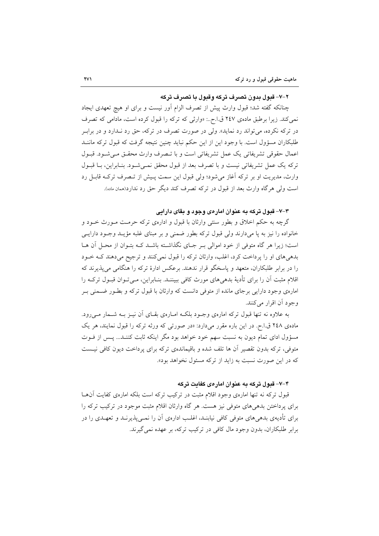#### ۲–۷– قبول بدون تصرف ترکه وقبول با تصرف ترکه

چنانکه گفته شد؛ قبول وارث پیش از تصرف الزام آور نیست و برای او هیچ تعهدی ایجاد نمی کند. زیرا برطبق مادهی ۲٤۷ ق.ا.ح..: «وارثی که ترکه را قبول کرده است، مادامی که تصرف در ترکه نکرده، می تواند رد نماید». ولی در صورت تصرف در ترکه، حق رد نـدارد و در برابـر طلبکاران مسؤول است. با وجود این از این حکم نباید چنین نتیجه گرفت که قبول ترکه ماننــد اعمال حقوقي تشريفاتي يک عمل تشريفاتي است و با تـصرف وارث محقـق مـي شـود. قبـول تركه يك عمل تشريفاتي نيست و با تصرف بعد از قبول محقق نمبي شـود. بنـابراين، بــا قبــول وارث، مدیریت او بر ترکه آغاز می شود؛ ولی قبول این سمت پیش از تـصرف ترکـه قابـل رد است ولي هرگاه وارث بعد از قبول در تركه تصرف كند ديگر حق رد ندارد(همان ماده).

## ۳–۷– قبول ترکه به عنوان امارهی وجود و بقای دارایی

گرچه به حکم اخلاق و بطور سنتی وارثان با قبول و ادارهی ترکه حرمت مـورث خـود و خانواده را نيز به يا مي دارند ولي قبول تركه بطور ضمني و بر مبناي غلبه مؤيـد وجـود دارايــي است؛ زیرا هر گاه متوفی از خود اموالی بـر جـای نگذاشـته باشـد کـه بتـوان از محـل آن هـا بدهی های او را برداخت کرد، اغلب، وارثان ترکه را قبول نمیکنند و ترجیح میدهند کـه خـود را در برابر طلبکاران، متعهد و پاسخگو قرار ندهند. برعکس ادارهٔ ترکه را هنگامی می پذیرند که اقلام مثبت آن را برای تأدیهٔ بدهیهای مورث کافی ببیننــد. بنــابراین، مــیتــوان قبــول ترکــه را امارهی وجود دارایی برجای مانده از متوفی دانست که وارثان با قبول ترکه و بطـور ضـمنی بـر وجود اَن اقرار مي کنند.

به علاوه نه تنها قبول ترکه امارهی وجـود بلکـه امـارهی بقـای اَن نیـز بـه شــمار مــی رود. مادهی ۲٤۸ ق.ا.م. در این باره مقرر میدارد: «در صورتی که ورثه ترکه را قبول نمایند، هر یک مسؤول ادای تمام دیون به نسبت سهم خود خواهد بود مگر اینکه ثابت کننـد... پـس از فـوت متوفی، ترکه بدون تقصیر آن ها تلف شده و باقیماندهی ترکه برای پرداخت دیون کافی نیست که در این صورت نسبت به زاید از ترکه مسئول نخواهد بود».

### ۴–۷– قبول ترکه به عنوان امارهی کفایت ترکه

قبول ترکه نه تنها امارهی وجود اقلام مثبت در ترکیب ترکه است بلکه امارهی کفایت آنهـا برای پرداختن بدهیهای متوفی نیز هست. هر گاه وارثان اقلام مثبت موجود در ترکیب ترکه را برای تأدیهی بدهیهای متوفی کافی نیابنـد، اغلـب ادارهی آن را نمــی،پذیرنــد و تعهــدی را در برابر طلبکاران، بدون وجود مال کافی در ترکیب ترکه، بر عهده نمی گیرند.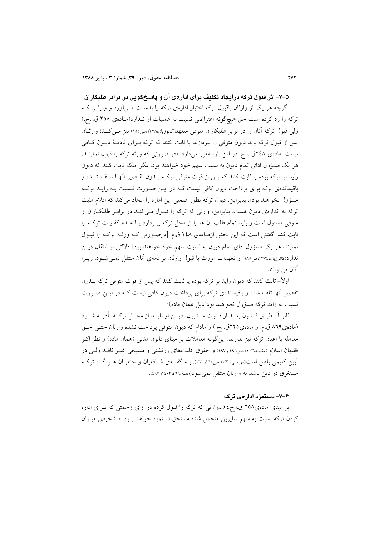۵–۷– اثر قبول ترکه درایجاد تکلیف برای ادارهی آن و پاسخگویی در برابر طلبکاران گرچه هر یک از وارثان باقبول ترکه اختیار ادارهی ترکه را بدست مـی آورد و وارثـی کـه ترکه را رد کرده است حق هیچگونه اعتراضی نسبت به عملیات او نـدارد(مـادهی ۲۵۸ ق.ا.ح.) ولی قبول ترکه آنان را در برابر طلبکاران متوفی متعهد(کاتوزیان،۱۳۷۸،ص۱۰۵) نیز مے کنــد؛ وارثــان پس از قبول ترکه باید دیون متوفی را بپردازند یا ثابت کنند که ترکه بـرای تأدیــهٔ دیــون کــافی نیست. مادهی ٢٤٨ق .ا.ح. در این باره مقرر میدارد: «در صورتی كه ورثه تركه را قبول نماینـد، هر یک مسؤول ادای تمام دیون به نسبت سهم خود خواهند بود، مگر اینکه ثابت کنند که دیون زايد بر تركه بوده يا ثابت كنند كه پس از فوت متوفى تركـه بــدون تقــصير آنهــا تلـف شــده و باقیماندهی ترکه برای پرداخت دیون کافی نیست کـه در ایــن صــورت نــسبت بــه زایــد ترکــه مسؤول نخواهند بود». بنابراین، قبول ترکه بطور ضمنی این اماره را ایجاد می کند که اقلام مثبت ترکه به اندازهی دیون هست. بنابراین، وارثی که ترکه را قبـول مـیکنـد در برابـر طلبکـاران از متوفی مسئول است و باید تمام طلب آن ها را از محل ترکه بیـردازد یـا عـدم کفایـت ترکـه را ثابت کند. گفتنی است که این بخش ازمـادهی ۲٤۸ ق.م. [درصـورتی کـه ورثـه ترکـه را قبـول نمایند، هر یک مسؤول ادای تمام دیون به نسبت سهم خود خواهند بود] دلالتی بر انتقال دیـن ندارد(کاتوزیان،۱۳۷٤،ص۱۸۸) و تعهدات مورث با قبول وارثان بر ذمهی آنان منتقل نمــی شــود. زیــرا آنان مي توانند:

اولاً– ثابت کنند که دیون زاید بر ترکه بوده یا ثابت کنند که پس از فوت متوفی ترکه بــدون تقصیر آنها تلف شده و باقیماندهی ترکه برای پرداخت دیون کافی نیست کـه در ایـن صـورت نسبت به زاید ترکه مسؤول نخواهند بود(ذیل همان ماده)؛

ثانيــاً- طبــق قــانون بعــد از فــوت مــديون، ديــن او بايــد از محــل تركــه تأديــه شــود (مادهی ٨٦٩ ق.م. و مادهی٢٢٥ق.ا.ح.) و مادام كه ديون متوفى پرداخت نشده وارثان حتـى حـق معامله با اعیان ترکه نیز ندارند. اینگونه معاملات بر مبنای قانون مدنی (همان ماده) و نظر اکثر فقیهان اسلام (مغنیه،۱٤٠۳مص٤٩٦ و٤٩٧) و حقوق اقلیتهای زرتشتی و مسیحی غیـر نافـذ ولـی در آیین کلیمی باطل است(فهیمی،۱۳۱۳می۱۰و۱۲۱). بـه گفتـهی شــافعیان و حنفیــان هــر گــاه ترکــه مستغرق در دين باشد به وارثان منتقل نمي شو د(مغنيه،١٤٠٣،٤٩٦و٤٩٧).

### ۶–۷– دستمزد ادارهی ترکه

بر مبنای مادهی۲۵۸ ق.ا.ح.: (...وارثی که ترکه را قبول کرده در ازای زحمتی که بـرای اداره کردن ترکه نسبت به سهم سایرین متحمل شده مستحق دستمزد خواهد بـود. تـشخیص میـزان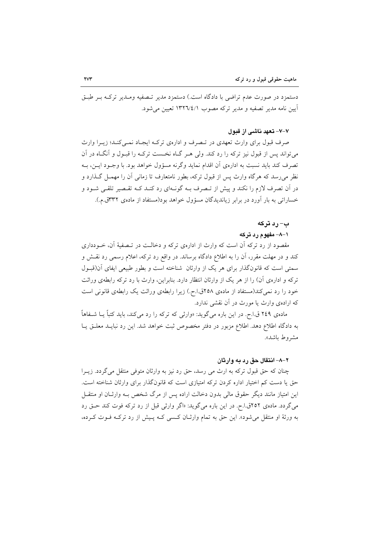دستمزد در صورت عدم تراضي با دادگاه است.) دستمزد مدير تـصفيه ومـدير تركـه بـر طبـق آيين نامه مدير تصفيه و مدير تركه مصوب ١٣٢٦/٤/١ تعيين مي شود.

#### ۷–۷– تعهد ناشبي از قبول

صرف قبول برای وارث تعهدی در تـصرف و ادارهی ترکـه ایجـاد نمـیکنـد؛ زیـرا وارث می تواند پس از قبول نیز ترکه را رد کند. ولی هـر گـاه نخـست ترکـه را قبـول و آنگـاه در آن تصرف کند باید نسبت به اداروی آن اقدام نماید وگرنه مسؤول خواهد بود. با وجـود ایـن، بـه نظر می رسد که هرگاه وارث پس از قبول ترکه، بطور نامتعارف تا زمانی آن را مهمـل گـذارد و در آن تصرف لازم را نکند و پیش از تـصرف بــه گونــهای رد کنــد کــه تقــصیر تلقــی شــود و خساراتی به بار آورد در برابر زیاندیدگان مسؤول خواهد بود(مستفاد از مادهی ۳۳۲ق.م.).

### ب– رد ترکه

### ۱–۸– مفهوم رد ترکه

مقصود از رد ترکه آن است که وارث از ادارهی ترکه و دخالـت در تـصفیهٔ آن، خــودداری کند و در مهلت مقرر، أن را به اطلاع دادگاه برساند. در واقع رد ترکه، اعلام رسمی رد نقــش و سمتی است که قانونگذار برای هر یک از وارثان شناخته است و بطور طبیعی ایفای آن(قبـول ترکه و ادارهی آن) را از هر یک از وارثان انتظار دارد. بنابراین، وارث با رد ترکه رابطهی وراثت خود را رد نمی کند(مستفاد از مادهی ۲۵۸ق.اح.) زیرا رابطهی وراثت یک رابطهی قانونی است که ارادهی وارث یا مورث در آن نقشی ندارد.

مادهی ۲٤٩ ق.ا.ح. در این باره می گوید: «وارثی که ترکه را رد می کند، باید کتباً یــا شــفاهاً به دادگاه اطلاع دهد. اطلاع مزبور در دفتر مخصوص ثبت خواهد شد. این رد نبایــد معلــق یــا مشروط باشد».

#### ۲–۸– انتقال حق رد به وارثان

چنان که حق قبول ترکه به ارث می رسد، حق رد نیز به وارثان متوفی منتقل می گردد. زیــرا حق یا دست کم اختیار اداره کردن ترکه امتیازی است که قانونگذار برای وارثان شناخته است. این امتیاز مانند دیگر حقوق مالی بدون دخالت اراده پس از مرگ شخص بـه وارثـان او منتقــل می گردد. مادهی ۲۵۲ق ا.ح. در این باره می گوید: «اگر وارثی قبل از رد ترکه فوت کند حـق رد به ورثهٔ او منتقل می شود». این حق به تمام وارثـان کـسی کـه پـیش از رد ترکـه فـوت کـرده،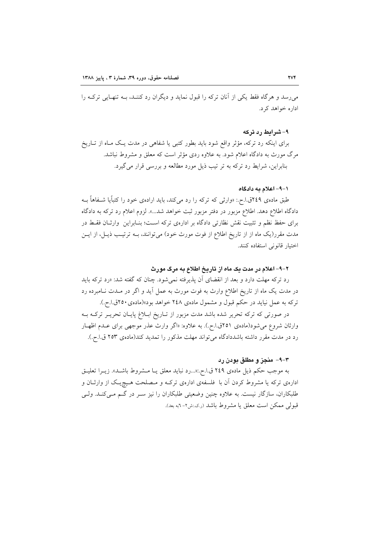می رسد و هرگاه فقط یکی از آنان ترکه را قبول نماید و دیگران رد کننـد، بـه تنهـایی ترکـه را اداره خواهد کرد.

۹- شرایط رد ترکه

برای اینکه رد ترکه، مؤثر واقع شود باید بطور کتبی یا شفاهی در مدت یک مـاه از تـاریخ مرگ مورث به دادگاه اعلام شود. به علاوه ردی مؤثر است که معلق و مشروط نباشد. بنابراین، شرایط رد ترکه به تر تیب ذیل مورد مطالعه و بررسی قرار می گیرد.

#### ۱–۹– اعلام به دادگاه

طبق مادهی ٢٤٩ق.ا.ح.: «وارثی که ترکه را رد می کند، باید ارادهی خود را کتباًیا شـفاهاً بـه دادگاه اطلاع دهد. اطلاع مزبور در دفتر مزبور ثبت خواهد شد...». لزوم اعلام رد ترکه به دادگاه برای حفظ نظم و تثبیت نقش نظارتی دادگاه بر ادارهی ترکه است؛ بنـابراین وارثـان فقـط در مدت مقرر(یک ماه از از تاریخ اطلاع از فوت مورث خود) میتوانند، بـه ترتیـب ذیـل، از ایـن اختيار قانوني استفاده كنند.

### ۲–۹– اعلام در مدت یک ماه از تاریخ اطلاع به مرگ مورث

رد ترکه مهلت دارد و بعد از انقضای آن پذیرفته نمی شود. چنان که گفته شد: «رد ترکه باید در مدت یک ماه از تاریخ اطلاع وارث به فوت مورث به عمل آید و اگر در مــدت نــامبرده رد ترکه به عمل نیاید در حکم قبول و مشمول مادهی ۲٤۸ خواهد بود»(مادهی ۲٥٠ق ا.ح.). در صورتی که ترکه تحریر شده باشد مدت مزبور از تـاریخ ابـلاغ پایـان تحریــر ترکــه بــه وارثان شروع می شود(مادهی ۲۵۱ق.ا.ح.). به علاوه: «اگر وارث عذر موجهی برای عـدم اظهـار رد در مدت مقرر داشته باشددادگاه می تواند مهلت مذکور را تمدید کند(مادهی ۲۵۳ ق.ا.ح.).

#### ۶–۹– منجز و مطلق بودن رد

به موجب حكم ذيل مادهى ٢٤٩ ق.ا.ح.:«...رد نبايد معلق يـا مـشروط باشـد». زيـرا تعليـق ادارهی ترکه یا مشروط کردن آن با ًفلسفهی ادارهی ترکـه و مـصلحت هـیچیـک از وارثــان و طلبکاران، سازگار نیست. به علاوه چنین وضعیتی طلبکاران را نیز سـر در گـم مـیکنـد. ولـی قبولي ممكن است معلق يا مشروط باشد (ر.ي.:ش٢- ٦به بعد).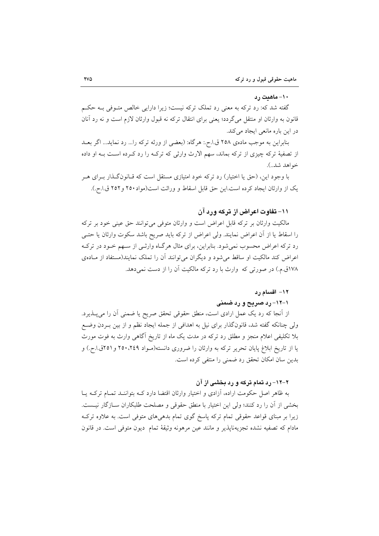#### ۱۰- ماهیت رد

گفته شد که: رد ترکه به معنی رد تملک ترکه نیست؛ زیرا دارایی خالص متـوفی بـه حکـم قانون به وارثان او منتقل میگردد؛ یعنی برای انتقال ترکه نه قبول وارثان لازم است و نه رد آنان در این باره مانعی ایجاد میکند.

بنابراین به موجب مادهی ۲۵۸ ق اح. هرگاه: (بعضی از ورثه ترکه را... رد نماید... اگر بعــد از تصفیهٔ ترکه چیزی از ترکه بماند، سهم الارث وارثی که ترک را رد کـرده اسـت بـه او داده خواهد شد..).

با وجود این، (حق یا اختیار) رد ترکه خود امتیازی مستقل است که قـانونگـذار بـرای هـر یک از وارثان ایجاد کرده است.این حق قابل اسقاط و وراثت است(مواد۲۵۰ و۲۵۲ ق.ا.ح.).

### ۱۱– تفاوت اعراض از ترکه ورد آن

مالکیت وارثان بر ترکه قابل اعراض است و وارثان متوفی میتوانند حق عینی خود بر ترکه را اسقاط یا از آن اعراض نمایند. ولی اعراض از ترکه باید صریح باشد سکوت وارثان یا حتـی رد ترکه اعراض محسوب نمیشود. بنابراین، برای مثال هرگاه وارثـی از سـهم خـود در ترکـه اعراض کند مالکیت او ساقط می شود و دیگران می توانند آن را تملک نمایند(مستفاد از مـادهی ۱۷۸ق.م.) در صورتی که وارث با رد ترکه مالکیت آن را از دست نمی دهد.

### ۱۲– اقسام رد

# ۱-۱۲- رد صرحح و رد ضمنی

از أنجا که رد یک عمل ارادی است، منطق حقوقی تحقق صریح یا ضمنی أن را میپــذیرد. ولي چنانکه گفته شد، قانونگذار براي نيل به اهدافي از جمله ايجاد نظم و از بين بـردن وضـع بلا تکلیفی اعلام منجز و مطلق رد ترکه در مدت یک ماه از تاریخ آگاهی وارث به فوت مورث یا از تاریخ ابلاغ پایان تحریر ترکه به وارثان را ضروری دانسته(مـواد ۲۵۰،۲٤۹ و ۲۵۱ق.ا.ح.) و بدین سان امکان تحقق رد ضمنی را منتفی کرده است.

### ۲-۱۲- رد تمام ترکه و رد بخشی از آن

به ظاهر اصل حکومت اراده، آزادی و اختیار وارثان اقتضا دارد کـه بتواننــد تمـام ترکــه پــا بخشي از آن را رد كنند؛ ولي اين اختيار با منطق حقوقي و مصلحت طلبكاران سـازگار نيـست. زیرا بر مبنای قواعد حقوقی تمام ترکه پاسخ گوی تمام بدهیهای متوفی است. به علاوه ترک مادام كه تصفيه نشده تجزيهنايذير و مانند عين مرهونه وثيقة تمام ديون متوفى است. در قانون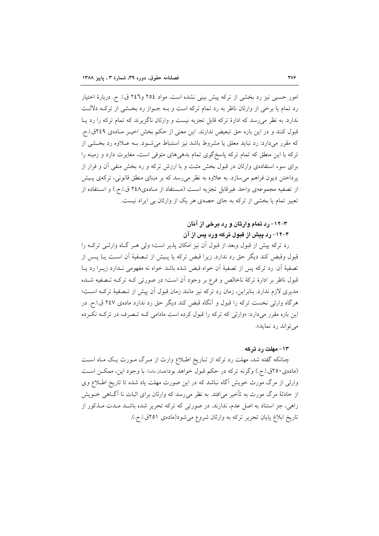امور حسبی نیز رد بخشی از ترکه پیش بینی نشده است. مواد ۲۵٤ و۲٤٦ ق.ا. ح. دربارهٔ اختیار رد تمام یا برخی از وارثان ناظر به رد تمام ترکه است و بـه جـواز رد بخـشی از ترکـه دلالـت ندارد. به نظر می رسد که ادارهٔ ترکه قابل تجزیه نیست و وارثان ناگزیرند که تمام ترکه را رد پـا قبول کنند و در این باره حق تبعیض ندارند. این معنی از حکم بخش اخیـر مـادهی ۲٤۹ق.ا.ح. که مقرر می،دارد: رد نباید معلق یا مشروط باشد نیز استنباط می شـود. بــه عــلاوه رد بخــشی از ترکه با این منطق که تمام ترکه پاسخگوی تمام بدهیهای متوفی است، مغایرت دارد و زمینه را برای سوء استفادهی وارثان در قبول بخش مثبت و با ارزش ترکه و رد بخش منفی آن و فرار از یرداختن دیون فراهم می سازد. به علاوه به نظر می رسد که بر مبنای منطق قانونی، ترکهی پـیش از تصفيه مجموعهى واحد غيرقابل تجزيه است (مستفاد از مـادهى٢٤٨ ق.ا.ح.) و اسـتفاده از تعبیر تمام یا بخشی از ترکه به جای حصهی هر یک از وارثان بی ایراد نیست.

# ۳–۱۲– رد تمام وارثان و رد برخی از آنان

# ۴–۱۲– رد پیش از قبول ترکه ورد پس از آن

رد ترکه پیش از قبول وبعد از قبول آن نیز امکان پذیر است؛ ولی هـر گـاه وارثـی ترکـه را قبول وقبض كند ديگر حق رد ندارد. زيرا قبض تركه يا پـيش از تـصفيهٔ آن اسـت يــا پــس از تصفيهٔ آن رد تركه پس از تصفيهٔ آن خواه قبض شده باشد خواه نه مفهومی نـدارد زيــرا رد پــا قبول ناظر بر ادارهٔ ترکهٔ ناخالص و فرع بر وجود آن است؛ در صورتی کـه ترکـه تــصفیه شــده مدیری لازم ندارد. بنابراین، زمان رد ترکه نیز مانند زمان قبول آن پیش از تـصفیهٔ ترکـه اسـت؛ هرگاه وارثی نخست ترکه را قبول و آنگاه قبض کند دیگر حق رد ندارد مادهی ۲٤۷ ق.ا.ح. در این باره مقرر میدارد: «وارثی که ترکه را قبول کرده است مادامی کـه تـصرف در ترکـه نکـرده مي تواند رد نمايد».

#### ۱۳– مهلت رد ترکه

چنانکه گفته شد، مهلت رد ترکه از تـاریخ اطـلاع وارث از مـرگ مـورث یـک مـاه اسـت (مادهی ٢٥٠ق.ا.ح.) وگرنه تركه در حكم قبول خواهد بود(همان ماده). با وجود اين، ممكـن اسـت وارثی از مرگ مورث خویش آگاه نباشد که در این صورت مهلت یاد شده تا تاریخ اطلاع وی از حادثهٔ مرگ مورث به تأخیر می|فتد. به نظر می رسد که وارثان برای اثبات نا آگــاهی خــویش راهی، جز استناد به اصل عدم، ندارند. در صورتی که ترکه تحریر شده باشـد مـدت مـذکور از تاريخ ابلاغ پايان تحرير تركه به وارثان شروع مي شود(مادهي ٢٥١ق أح.).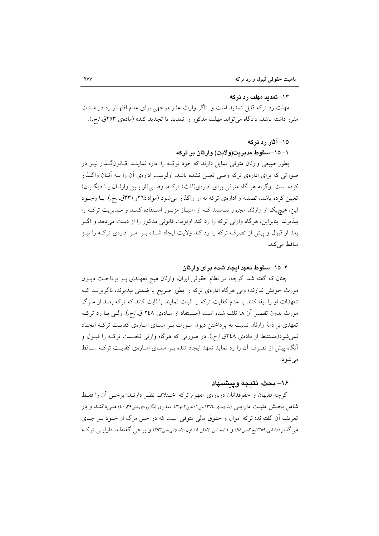#### ۱۴– تمدید مهلت رد ترکه

مهلت رد ترکه قابل تمدید است و: «اگر وارث عذر موجهی برای عدم اظهـار رد در مــدت مقرر داشته باشد، دادگاه می تواند مهلت مذکور را تمدید یا تجدید کند» (مادهی ۲۵۳ق.ا.ج.).

### ۱۵– آثار رد ترکه

### ۱– ۱۵– سقوط مدبر بت(ولایت) وارثان بر ترکه

بطور طبیعی وارثان متوفی تمایل دارند که خود ترکـه را اداره نماینـد. قـانونگـذار نیــز در صورتی که برای ادارهی ترکه وصی تعیین نشده باشد، اولویت ادارهی آن را بـه آنـان واگـذار کرده است. وگرنه هر گاه متوفی برای ادارهی(ثلث) ترکـه، وصـی(از بـین وارثـان یـا دیگـران) تعیین کرده باشد، تصفیه و ادارهی ترکه به او واگذار می شود (مواد٢٦٤و ٣٣٠ق.ا.ح.). بــا وجــود این، هیچ یک از وارثان مجبور نیـستند کـه از امتیـاز مزبـور اسـتفاده کننـد و مـدیریت ترکـه را بيذيرند. بنابراين، هر گاه وارثي تركه را رد كند اولويت قانوني مذكور را از دست مي دهد و اگـر بعد از قبول و پیش از تصرف ترکه را رد کند ولایت ایجاد شـده بـر امـر ادارهی ترکـه را نیـز ساقط می کند.

### ۲–۱۵– سقوط تعهد ایجاد شده برای وارثان

چنان که گفته شد: گرچه، در نظام حقوقی ایران، وارثان هیچ تعهــدی بــر پرداخــت دیــون مورث خویش ندارند؛ ولی هرگاه ادارهی ترکه را بطور صریح یا ضمنی بیذیرند، ناگزیرنــد کــه تعهدات او را ایفا کنند یا عدم کفایت ترکه را اثبات نمایند یا ثابت کنند که ترکه بعـد از مـرگ مورث بدون تقصیر أن ها تلف شده است (مستفاد از مـادهی ٢٤٨ ق.ا.ح.). ولـی بـا رد ترکـه تعهدی بر ذمهٔ وارثان نسبت به پرداختن دیون مـورث بـر مبنـای امـارهی کفایـت ترکـه ایجـاد نمي شود(مستنبط از مادهي ٢٤٨ق.ا.ح.). در صورتي كه هرگاه وارثي نخـست تركـه را قبــول و آنگاه پیش از تصرف آن را رد نماید تعهد ایجاد شده به مبنـای امـارهی کفایـت ترکـه سـاقط مې شو د.

### ١۶- يحث، نتيجه ويبشنهاد

گرچه فقیهان و حقوقدانان دربارهی مفهوم ترکه اخـتلاف نظـر دارنـد؛ برخـی آن را فقـط شامل بخش مثبت دارایسی (شهیدی، ۱۳۷٤،ش۱ نمص۲ پو۳؛جعفری لنگرودی،ص۳۹و۲۰) مسی داننــد و در تعریف آن گفتهاند: ترکه اموال و حقوق مالی متوفی است که در حین مرگ از خــود بــر جــای مي گذارد(امامي،١٣٥٩،ج٣،ص٩٨) و (المجلس الاعلي للشئون الاسلامي،ص٢٩٣) و برخي گفتهاند دارايــي تركــه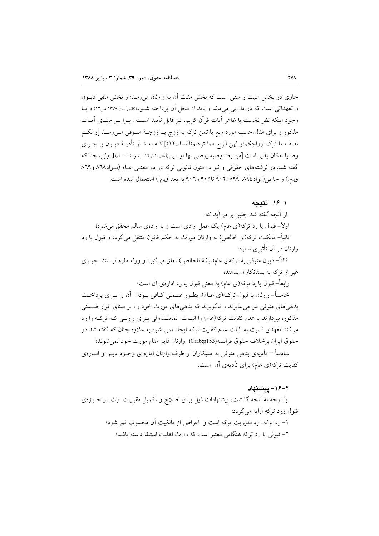حاوی دو بخش مثبت و منفی است که بخش مثبت آن به وارثان می رسد؛ و بخش منفی دیــون و تعهداتی است که در دارایی می ماند و باید از محل آن پرداخته شـود(کاتوزیـان،۱۳۷۸،ص۱۲) و بـا وجود اينكه نظر نخست با ظاهر أيات قرأن كريم، نيز قابل تأييد است زيـرا بـر مبنـاي أيــات مذکور و برای مثال،حسب مورد ربع یا ثمن ترکه به زوج یـا زوجـهٔ متــوفی مــیرســد [و لکــم نصف ما ترك ازواجكم؛و لهن الربع مما تركتم(النساء،١٢)] كـه بعـد از تأديــهْ ديــون و اجــراي وصايا امكان پذير است [من بعد وصيه يوصى بها او دين(آيات ١١و١٢ از سورهٔ النساء)]. ولي، چنانكه گفته شد، در نوشتههای حقوقی و نیز در متون قانونی ترکه در دو معنـی عـام (مـواد١٦٨ و ٨٦٩ ق.م.) و خاص (مواد١٩٤، ٩٠٢، ٩٠٢، تا٩٠٥ و٩٠٦ به بعد ق.م.) استعمال شده است.

١-١۶- نتىجه

از آنچه گفته شد چنین بر می آید که: اولاً- قبول یا رد ترکه(ی عام) یک عمل ارادی است و با ارادهی سالم محقق می شود؛ ثانیاً– مالکیت ترکه(ی خالص) به وارثان مورث به حکم قانون منتقل میگردد و قبول یا رد وارثان در آن تأثیری ندارد؛

ثالثاً– دیون متوفی به ترکهی عام(ترکهٔ ناخالص) تعلق میگیرد و ورثه ملزم نیـستند چیــزی غیر از ترکه به بستانکاران بدهند؛

رابعاً– قبول یارد ترکه(ی عام) به معنی قبول یا رد ادارهی آن است؛

خامساً- وارثان با قبول ترک%ی عـام)، بطـور ضـمنی کـافی بـودن آن را بـرای یرداخـت بدهیهای متوفی نیز می پذیرند و ناگزیرند که بدهیهای مورث خود را، بر مبنای اقرار ضـمنی مذکور، بپردازند یا عدم کفایت ترکه(عام) را اثبـات نماینـد؛ولی بـرای وارثـی کـه ترکـه را رد می کند تعهدی نسبت به اثبات عدم کفایت ترکه ایجاد نمی شود.به علاوه چنان که گفته شد در حقوق ايران برخلاف حقوق فرانسه(Crab;p153) وارثان قايم مقام مورث خود نمي شوند؛

سادساً – تأدیهی بدهی متوفی به طلبکاران از طرف وارثان اماره ی وجـود دیــن و امــارهی کفایت ترکه(ی عام) برای تأدیهی آن است.

#### ٢-١۶- ييشنهاد

با توجه به آنچه گذشت، پیشنهادات ذیل برای اصلاح و تکمیل مقررات ارث در حــوزهی قمول ورد ترکه ارایه میگردد: ١- رد تركه، رد مديريت تركه است و اعراض از مالكيت آن محسوب نمي شود؛ ۲– قبولی یا رد ترکه هنگامی معتبر است که وارث اهلیت استیفا داشته باشد؛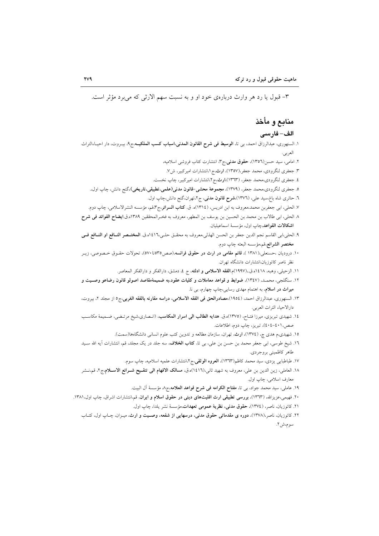٣- قبول يا رد هر وارث دربارهي خود او و به نسبت سهم الارثي كه مي برد مؤثر است.

# منابع و مأخذ

#### الف– فارسى

- ۱. السنهوری، عبدالرزاق احمد، ب<sub>ی</sub> تا، **الوسیط فی شرح القانون المدنی،اسباب کسب الملکیــه**،ج۹، بیــروت، دار احیــاءالتراث العربي.
	- ۲. امامی، سید حسن(۱۳۵٦)، حقوق مدنی،ج۳، انتشارت کتاب فروشی اسلامیه،
	- ۳. جعفری لنگرودی، محمد جعفر،(۱۳۵۷)، ارث،ج ۱،انتشارات امیرکبیر، ش۷.
	- ٤. جعفري لنگرودي،محمد جعفر، (١٣٦٣)،ارث،ج٢،انتشارات اميركبير، چاپ نخست.
	- ٥. جعفري لنگرودي،محمد جعفر، (١٣٧٩)، م**جموعة محشى-قانون مدني(علمي،تطبيقي،تاريخي)**،گنج دانش، چاپ اول.
		- ٦. حائري شاه باغ،سيد علي، (١٣٧٦)،**شرح قانون مدني**، ج٢،تهران،گنج دانش،چاپ اول.
- ٧. الحلي، ابي جعفربن محمد،معروف به ابن ادريس، (١٣١٤)ه. ق. كتاب السرائر،ج٣قم، مؤسسه النشرالاسلامي، چاپ دوم. ٨. الحلي، ابي طالاب بن محمد بن الحسين بن يوسف بن المطهر، معروف به فخـرالمحققين ١٣٨٩ه.ق.ايضاح الفوائد في شرح
- اشكالات القواعد،چاپ اول، مؤسسة اسماعيليان. ٩. الحلي،ابي القاسم نجم الدين جعفر بن الحسن الهذلي،معروف به محقـق حلـي،١٤١٦ه.ق. **المختـصر النــافع او النــافع فــي**
- مختصر الشرائع،قم،مؤسسه البعثه چاپ دوم.
- ۱۰. درودیان ،حسنعلی،(۱۳۸۱ )، **قائم مقامی در ارث در حقوق فرانسه**،(صص۳٥تا۷۰ه)، تحولات حقـوق خـصوصی، زیــر نظر ناصر كاتوزيان،انتشارات دانشگاه تهران.
	- ١١. الزحيلي، وهبه، ١٤١٨ه.ق.١٩٩٧)م.ا**لفقه الاسلامي و ادلته**، ج ٤، دمشق، دارالفكر و دارالفكر المعاصر.
- ۱۲. سنگلجی، محمـد. (۱۳٤۷). ضوابط و قواعد معاملات و کلیات عقود،به ضمیمهٔمقاصد اصولو قانون رضاعو وصــیت و میراث در اسلام، به اهتمام مهدی رسایی،چاپ چهارم، بی نا.
- ۱۳. السنهوري، عبدالرزاق احمد، (١٩٥٤)،مصادرالحق في الفقه الاسلامي، دراسه مقارنه بالفقه الغربي،ج٥ از مجلد ٢، بيروت، دارالاحياء التراث العربي.
- ١٤. شهيدي تبريزي، ميرزا فتـاح، (١٣٧٥)ه.ق. ه**دايه الطالب الي اسرار المكاسب**، (انـصاري،شيخ مرتـضي، ضـميمهٔ مكاسـب صص،٤٠١-٤٠٤)، تبريز، چاپ دوم، اطلاعات.
	- ۱۵. شهیدی،م هدی چ، (۱۳۷٤)، ارث، تهران، سازمان مطالعه و تدوین کتب علوم انسانی دانشگاهها(سمت).
- ١٦. شیخ طوسی، ابی جعفر محمد بن حسن بن علی، بی تا، **کتاب الخلاف**، سه جلد در یک مجلد، قم، انتشارات اَیه الله سـید طاهر كاظميني بروجردي.
	- ١٧. طباطبايي يزدي، سيد محمد كاظم(١٣٦٣)، **العروه الوثقي**،ج٢،انتشارات علميه اسلاميه، چاپ سوم.
- ١٨. العاملي، زين الدين بن علي، معروف به شهيد ثاني،(١٤١٦)ه.ق، مسالك الافهام الى تنقـيح شـرائع الاســلام،ج٢، قم،نـشر معارف اسلامي، چاپ اول.
	- ١٩. عاملي، سيد محمد جواد، بي تا، مفتاح الكرامه في شرح قواعد العلامه،ج٨ مؤسسة آل البيت.
- ۲۰. فهیمی،عزیزالله، (۱۳۹۳)، **بررسی تطبیقی ارث اقلیتهای دینی در حقوق اسلام و ایران**، قم،انتشارات اشراق، چاپ اول،۱۳۸۱. ۲۱. كاتوزيان، ناصر، (١٣٧٤)، حقوق مدنى، نظرية عمومى تعهدات،مؤسسة نشر يلدا، چاپ اول.
	- ۲۲. کاتوزیان، ناصر،(۱۳۷۸)، **دوره ی مقدماتی حقوق مدنی، درسهایی از شفعه، وصیت و ارث**، میـزان، چـاپ اول، کتـاب سوم،ش۲.